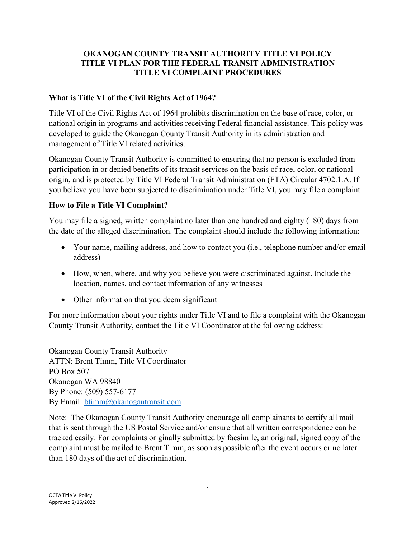# **OKANOGAN COUNTY TRANSIT AUTHORITY TITLE VI POLICY TITLE VI PLAN FOR THE FEDERAL TRANSIT ADMINISTRATION TITLE VI COMPLAINT PROCEDURES**

### **What is Title VI of the Civil Rights Act of 1964?**

Title VI of the Civil Rights Act of 1964 prohibits discrimination on the base of race, color, or national origin in programs and activities receiving Federal financial assistance. This policy was developed to guide the Okanogan County Transit Authority in its administration and management of Title VI related activities.

Okanogan County Transit Authority is committed to ensuring that no person is excluded from participation in or denied benefits of its transit services on the basis of race, color, or national origin, and is protected by Title VI Federal Transit Administration (FTA) Circular 4702.1.A. If you believe you have been subjected to discrimination under Title VI, you may file a complaint.

# **How to File a Title VI Complaint?**

You may file a signed, written complaint no later than one hundred and eighty (180) days from the date of the alleged discrimination. The complaint should include the following information:

- Your name, mailing address, and how to contact you (i.e., telephone number and/or email address)
- How, when, where, and why you believe you were discriminated against. Include the location, names, and contact information of any witnesses
- Other information that you deem significant

For more information about your rights under Title VI and to file a complaint with the Okanogan County Transit Authority, contact the Title VI Coordinator at the following address:

Okanogan County Transit Authority ATTN: Brent Timm, Title VI Coordinator PO Box 507 Okanogan WA 98840 By Phone: (509) 557-6177 By Email: [btimm@okanogantransit.com](mailto:kscalf@okanogantransit.com)

Note: The Okanogan County Transit Authority encourage all complainants to certify all mail that is sent through the US Postal Service and/or ensure that all written correspondence can be tracked easily. For complaints originally submitted by facsimile, an original, signed copy of the complaint must be mailed to Brent Timm, as soon as possible after the event occurs or no later than 180 days of the act of discrimination.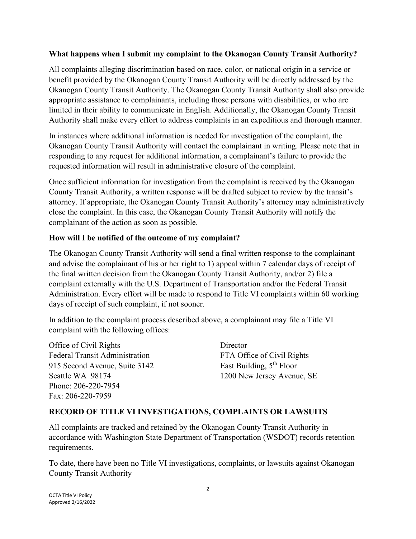#### **What happens when I submit my complaint to the Okanogan County Transit Authority?**

All complaints alleging discrimination based on race, color, or national origin in a service or benefit provided by the Okanogan County Transit Authority will be directly addressed by the Okanogan County Transit Authority. The Okanogan County Transit Authority shall also provide appropriate assistance to complainants, including those persons with disabilities, or who are limited in their ability to communicate in English. Additionally, the Okanogan County Transit Authority shall make every effort to address complaints in an expeditious and thorough manner.

In instances where additional information is needed for investigation of the complaint, the Okanogan County Transit Authority will contact the complainant in writing. Please note that in responding to any request for additional information, a complainant's failure to provide the requested information will result in administrative closure of the complaint.

Once sufficient information for investigation from the complaint is received by the Okanogan County Transit Authority, a written response will be drafted subject to review by the transit's attorney. If appropriate, the Okanogan County Transit Authority's attorney may administratively close the complaint. In this case, the Okanogan County Transit Authority will notify the complainant of the action as soon as possible.

### **How will I be notified of the outcome of my complaint?**

The Okanogan County Transit Authority will send a final written response to the complainant and advise the complainant of his or her right to 1) appeal within 7 calendar days of receipt of the final written decision from the Okanogan County Transit Authority, and/or 2) file a complaint externally with the U.S. Department of Transportation and/or the Federal Transit Administration. Every effort will be made to respond to Title VI complaints within 60 working days of receipt of such complaint, if not sooner.

In addition to the complaint process described above, a complainant may file a Title VI complaint with the following offices:

Office of Civil Rights Director Federal Transit Administration FTA Office of Civil Rights 915 Second Avenue, Suite 3142 East Building, 5<sup>th</sup> Floor Seattle WA 98174 1200 New Jersey Avenue, SE Phone: 206-220-7954 Fax: 206-220-7959

#### **RECORD OF TITLE VI INVESTIGATIONS, COMPLAINTS OR LAWSUITS**

All complaints are tracked and retained by the Okanogan County Transit Authority in accordance with Washington State Department of Transportation (WSDOT) records retention requirements.

To date, there have been no Title VI investigations, complaints, or lawsuits against Okanogan County Transit Authority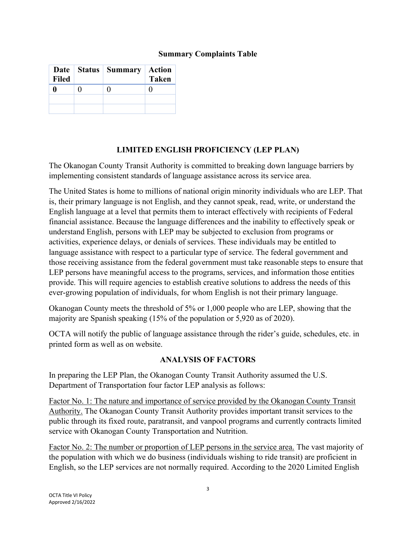### **Summary Complaints Table**

| Date $\vert$<br><b>Filed</b> | <b>Status</b>   Summary | <b>Action</b><br><b>Taken</b> |
|------------------------------|-------------------------|-------------------------------|
|                              |                         |                               |
|                              |                         |                               |
|                              |                         |                               |

# **LIMITED ENGLISH PROFICIENCY (LEP PLAN)**

The Okanogan County Transit Authority is committed to breaking down language barriers by implementing consistent standards of language assistance across its service area.

The United States is home to millions of national origin minority individuals who are LEP. That is, their primary language is not English, and they cannot speak, read, write, or understand the English language at a level that permits them to interact effectively with recipients of Federal financial assistance. Because the language differences and the inability to effectively speak or understand English, persons with LEP may be subjected to exclusion from programs or activities, experience delays, or denials of services. These individuals may be entitled to language assistance with respect to a particular type of service. The federal government and those receiving assistance from the federal government must take reasonable steps to ensure that LEP persons have meaningful access to the programs, services, and information those entities provide. This will require agencies to establish creative solutions to address the needs of this ever-growing population of individuals, for whom English is not their primary language.

Okanogan County meets the threshold of 5% or 1,000 people who are LEP, showing that the majority are Spanish speaking (15% of the population or 5,920 as of 2020).

OCTA will notify the public of language assistance through the rider's guide, schedules, etc. in printed form as well as on website.

### **ANALYSIS OF FACTORS**

In preparing the LEP Plan, the Okanogan County Transit Authority assumed the U.S. Department of Transportation four factor LEP analysis as follows:

Factor No. 1: The nature and importance of service provided by the Okanogan County Transit Authority. The Okanogan County Transit Authority provides important transit services to the public through its fixed route, paratransit, and vanpool programs and currently contracts limited service with Okanogan County Transportation and Nutrition.

Factor No. 2: The number or proportion of LEP persons in the service area. The vast majority of the population with which we do business (individuals wishing to ride transit) are proficient in English, so the LEP services are not normally required. According to the 2020 Limited English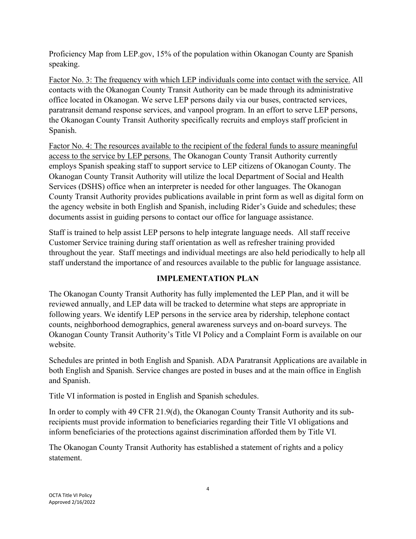Proficiency Map from LEP.gov, 15% of the population within Okanogan County are Spanish speaking.

Factor No. 3: The frequency with which LEP individuals come into contact with the service. All contacts with the Okanogan County Transit Authority can be made through its administrative office located in Okanogan. We serve LEP persons daily via our buses, contracted services, paratransit demand response services, and vanpool program. In an effort to serve LEP persons, the Okanogan County Transit Authority specifically recruits and employs staff proficient in Spanish.

Factor No. 4: The resources available to the recipient of the federal funds to assure meaningful access to the service by LEP persons. The Okanogan County Transit Authority currently employs Spanish speaking staff to support service to LEP citizens of Okanogan County. The Okanogan County Transit Authority will utilize the local Department of Social and Health Services (DSHS) office when an interpreter is needed for other languages. The Okanogan County Transit Authority provides publications available in print form as well as digital form on the agency website in both English and Spanish, including Rider's Guide and schedules; these documents assist in guiding persons to contact our office for language assistance.

Staff is trained to help assist LEP persons to help integrate language needs. All staff receive Customer Service training during staff orientation as well as refresher training provided throughout the year. Staff meetings and individual meetings are also held periodically to help all staff understand the importance of and resources available to the public for language assistance.

# **IMPLEMENTATION PLAN**

The Okanogan County Transit Authority has fully implemented the LEP Plan, and it will be reviewed annually, and LEP data will be tracked to determine what steps are appropriate in following years. We identify LEP persons in the service area by ridership, telephone contact counts, neighborhood demographics, general awareness surveys and on-board surveys. The Okanogan County Transit Authority's Title VI Policy and a Complaint Form is available on our website.

Schedules are printed in both English and Spanish. ADA Paratransit Applications are available in both English and Spanish. Service changes are posted in buses and at the main office in English and Spanish.

Title VI information is posted in English and Spanish schedules.

In order to comply with 49 CFR 21.9(d), the Okanogan County Transit Authority and its subrecipients must provide information to beneficiaries regarding their Title VI obligations and inform beneficiaries of the protections against discrimination afforded them by Title VI.

The Okanogan County Transit Authority has established a statement of rights and a policy statement.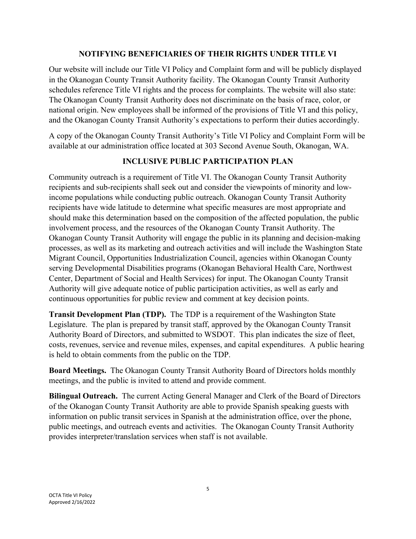#### **NOTIFYING BENEFICIARIES OF THEIR RIGHTS UNDER TITLE VI**

Our website will include our Title VI Policy and Complaint form and will be publicly displayed in the Okanogan County Transit Authority facility. The Okanogan County Transit Authority schedules reference Title VI rights and the process for complaints. The website will also state: The Okanogan County Transit Authority does not discriminate on the basis of race, color, or national origin. New employees shall be informed of the provisions of Title VI and this policy, and the Okanogan County Transit Authority's expectations to perform their duties accordingly.

A copy of the Okanogan County Transit Authority's Title VI Policy and Complaint Form will be available at our administration office located at 303 Second Avenue South, Okanogan, WA.

### **INCLUSIVE PUBLIC PARTICIPATION PLAN**

Community outreach is a requirement of Title VI. The Okanogan County Transit Authority recipients and sub-recipients shall seek out and consider the viewpoints of minority and lowincome populations while conducting public outreach. Okanogan County Transit Authority recipients have wide latitude to determine what specific measures are most appropriate and should make this determination based on the composition of the affected population, the public involvement process, and the resources of the Okanogan County Transit Authority. The Okanogan County Transit Authority will engage the public in its planning and decision-making processes, as well as its marketing and outreach activities and will include the Washington State Migrant Council, Opportunities Industrialization Council, agencies within Okanogan County serving Developmental Disabilities programs (Okanogan Behavioral Health Care, Northwest Center, Department of Social and Health Services) for input. The Okanogan County Transit Authority will give adequate notice of public participation activities, as well as early and continuous opportunities for public review and comment at key decision points.

**Transit Development Plan (TDP).** The TDP is a requirement of the Washington State Legislature. The plan is prepared by transit staff, approved by the Okanogan County Transit Authority Board of Directors, and submitted to WSDOT. This plan indicates the size of fleet, costs, revenues, service and revenue miles, expenses, and capital expenditures. A public hearing is held to obtain comments from the public on the TDP.

**Board Meetings.** The Okanogan County Transit Authority Board of Directors holds monthly meetings, and the public is invited to attend and provide comment.

**Bilingual Outreach.** The current Acting General Manager and Clerk of the Board of Directors of the Okanogan County Transit Authority are able to provide Spanish speaking guests with information on public transit services in Spanish at the administration office, over the phone, public meetings, and outreach events and activities. The Okanogan County Transit Authority provides interpreter/translation services when staff is not available.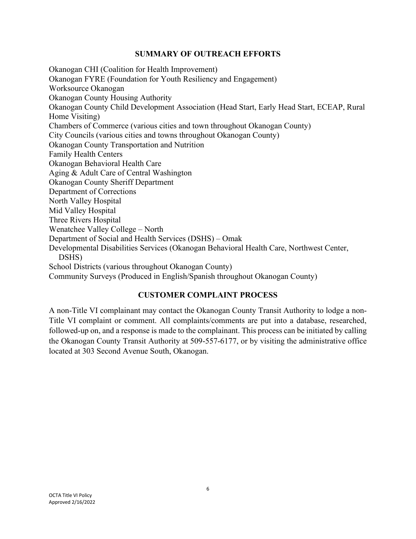#### **SUMMARY OF OUTREACH EFFORTS**

Okanogan CHI (Coalition for Health Improvement) Okanogan FYRE (Foundation for Youth Resiliency and Engagement) Worksource Okanogan Okanogan County Housing Authority Okanogan County Child Development Association (Head Start, Early Head Start, ECEAP, Rural Home Visiting) Chambers of Commerce (various cities and town throughout Okanogan County) City Councils (various cities and towns throughout Okanogan County) Okanogan County Transportation and Nutrition Family Health Centers Okanogan Behavioral Health Care Aging & Adult Care of Central Washington Okanogan County Sheriff Department Department of Corrections North Valley Hospital Mid Valley Hospital Three Rivers Hospital Wenatchee Valley College – North Department of Social and Health Services (DSHS) – Omak Developmental Disabilities Services (Okanogan Behavioral Health Care, Northwest Center, DSHS) School Districts (various throughout Okanogan County) Community Surveys (Produced in English/Spanish throughout Okanogan County)

### **CUSTOMER COMPLAINT PROCESS**

A non-Title VI complainant may contact the Okanogan County Transit Authority to lodge a non-Title VI complaint or comment. All complaints/comments are put into a database, researched, followed-up on, and a response is made to the complainant. This process can be initiated by calling the Okanogan County Transit Authority at 509-557-6177, or by visiting the administrative office located at 303 Second Avenue South, Okanogan.